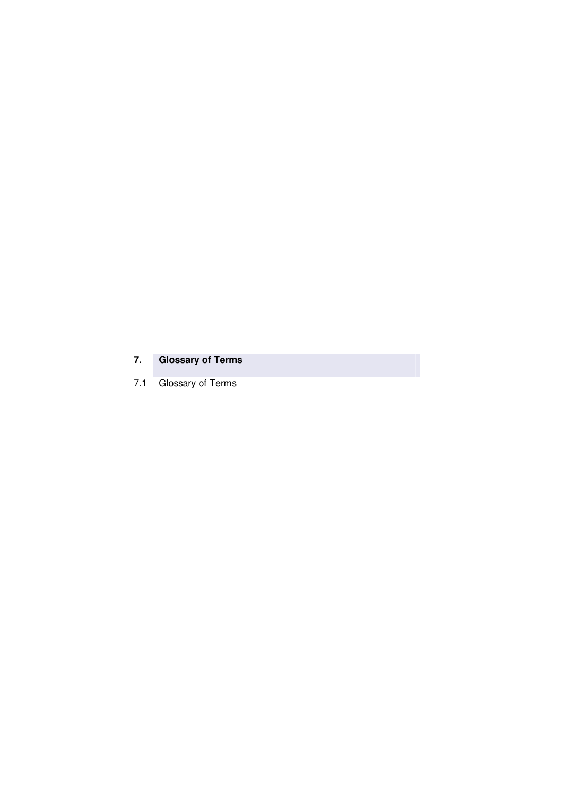## **7. Glossary of Terms**

7.1 Glossary of Terms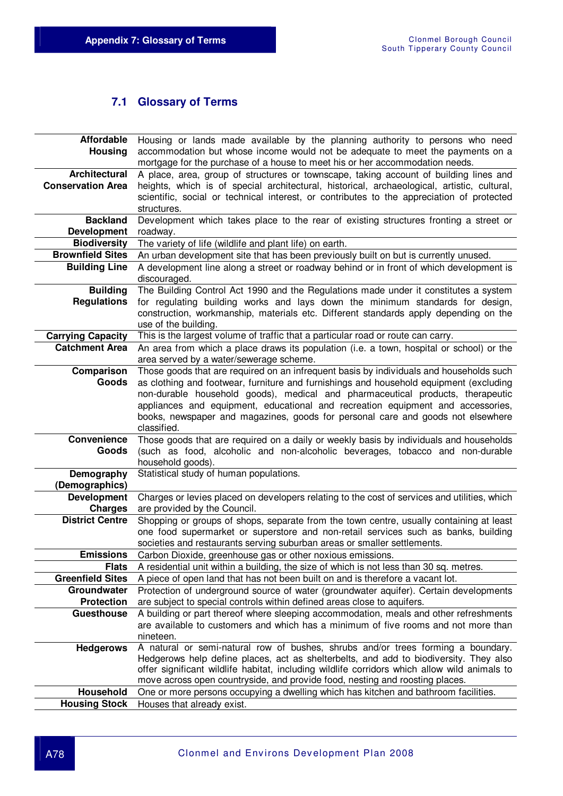## **7.1 Glossary of Terms**

| Affordable               | Housing or lands made available by the planning authority to persons who need                                                                                       |
|--------------------------|---------------------------------------------------------------------------------------------------------------------------------------------------------------------|
| <b>Housing</b>           | accommodation but whose income would not be adequate to meet the payments on a                                                                                      |
|                          | mortgage for the purchase of a house to meet his or her accommodation needs.                                                                                        |
| <b>Architectural</b>     | A place, area, group of structures or townscape, taking account of building lines and                                                                               |
| <b>Conservation Area</b> | heights, which is of special architectural, historical, archaeological, artistic, cultural,                                                                         |
|                          | scientific, social or technical interest, or contributes to the appreciation of protected                                                                           |
|                          | structures.                                                                                                                                                         |
| <b>Backland</b>          | Development which takes place to the rear of existing structures fronting a street or                                                                               |
| <b>Development</b>       | roadway.                                                                                                                                                            |
| <b>Biodiversity</b>      | The variety of life (wildlife and plant life) on earth.                                                                                                             |
| <b>Brownfield Sites</b>  | An urban development site that has been previously built on but is currently unused.                                                                                |
| <b>Building Line</b>     | A development line along a street or roadway behind or in front of which development is                                                                             |
|                          | discouraged.                                                                                                                                                        |
| <b>Building</b>          | The Building Control Act 1990 and the Regulations made under it constitutes a system                                                                                |
| <b>Regulations</b>       | for regulating building works and lays down the minimum standards for design,                                                                                       |
|                          | construction, workmanship, materials etc. Different standards apply depending on the                                                                                |
|                          | use of the building.                                                                                                                                                |
| <b>Carrying Capacity</b> | This is the largest volume of traffic that a particular road or route can carry.                                                                                    |
| <b>Catchment Area</b>    | An area from which a place draws its population (i.e. a town, hospital or school) or the                                                                            |
|                          | area served by a water/sewerage scheme.                                                                                                                             |
| Comparison               | Those goods that are required on an infrequent basis by individuals and households such                                                                             |
| Goods                    | as clothing and footwear, furniture and furnishings and household equipment (excluding                                                                              |
|                          | non-durable household goods), medical and pharmaceutical products, therapeutic                                                                                      |
|                          | appliances and equipment, educational and recreation equipment and accessories,                                                                                     |
|                          | books, newspaper and magazines, goods for personal care and goods not elsewhere<br>classified.                                                                      |
| Convenience              | Those goods that are required on a daily or weekly basis by individuals and households                                                                              |
| Goods                    | (such as food, alcoholic and non-alcoholic beverages, tobacco and non-durable                                                                                       |
|                          | household goods).                                                                                                                                                   |
| Demography               | Statistical study of human populations.                                                                                                                             |
| (Demographics)           |                                                                                                                                                                     |
| <b>Development</b>       | Charges or levies placed on developers relating to the cost of services and utilities, which                                                                        |
| <b>Charges</b>           | are provided by the Council.                                                                                                                                        |
| <b>District Centre</b>   | Shopping or groups of shops, separate from the town centre, usually containing at least                                                                             |
|                          | one food supermarket or superstore and non-retail services such as banks, building                                                                                  |
|                          | societies and restaurants serving suburban areas or smaller settlements.                                                                                            |
| <b>Emissions</b>         | Carbon Dioxide, greenhouse gas or other noxious emissions.                                                                                                          |
| <b>Flats</b>             | A residential unit within a building, the size of which is not less than 30 sq. metres.                                                                             |
| <b>Greenfield Sites</b>  | A piece of open land that has not been built on and is therefore a vacant lot.                                                                                      |
| Groundwater              | Protection of underground source of water (groundwater aquifer). Certain developments                                                                               |
| <b>Protection</b>        | are subject to special controls within defined areas close to aquifers.                                                                                             |
| <b>Guesthouse</b>        | A building or part thereof where sleeping accommodation, meals and other refreshments                                                                               |
|                          | are available to customers and which has a minimum of five rooms and not more than                                                                                  |
|                          | nineteen.                                                                                                                                                           |
| <b>Hedgerows</b>         | A natural or semi-natural row of bushes, shrubs and/or trees forming a boundary.                                                                                    |
|                          | Hedgerows help define places, act as shelterbelts, and add to biodiversity. They also                                                                               |
|                          | offer significant wildlife habitat, including wildlife corridors which allow wild animals to                                                                        |
| Household                | move across open countryside, and provide food, nesting and roosting places.<br>One or more persons occupying a dwelling which has kitchen and bathroom facilities. |
| <b>Housing Stock</b>     | Houses that already exist.                                                                                                                                          |
|                          |                                                                                                                                                                     |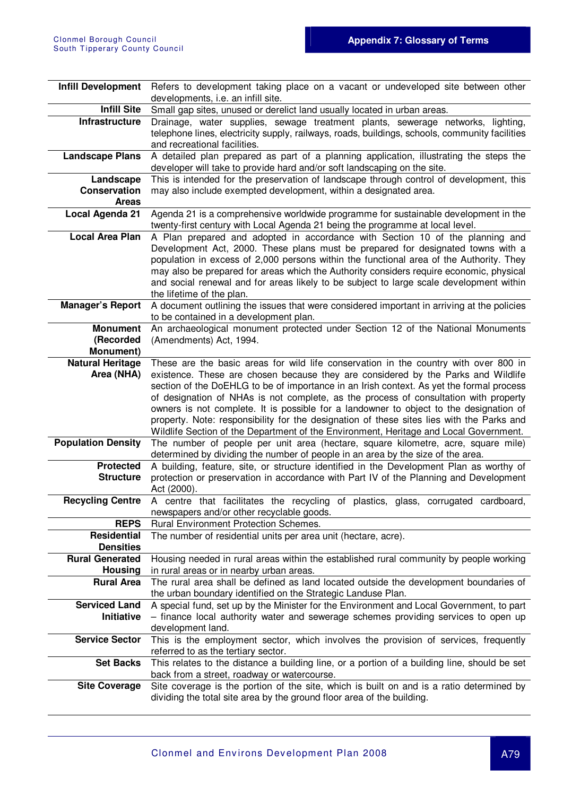| <b>Infill Development</b>          | Refers to development taking place on a vacant or undeveloped site between other                                                                                               |
|------------------------------------|--------------------------------------------------------------------------------------------------------------------------------------------------------------------------------|
|                                    | developments, i.e. an infill site.                                                                                                                                             |
| <b>Infill Site</b>                 | Small gap sites, unused or derelict land usually located in urban areas.                                                                                                       |
| Infrastructure                     | Drainage, water supplies, sewage treatment plants, sewerage networks, lighting,                                                                                                |
|                                    | telephone lines, electricity supply, railways, roads, buildings, schools, community facilities<br>and recreational facilities.                                                 |
| <b>Landscape Plans</b>             | A detailed plan prepared as part of a planning application, illustrating the steps the                                                                                         |
|                                    | developer will take to provide hard and/or soft landscaping on the site.                                                                                                       |
| Landscape                          | This is intended for the preservation of landscape through control of development, this                                                                                        |
| <b>Conservation</b>                | may also include exempted development, within a designated area.                                                                                                               |
| <b>Areas</b>                       |                                                                                                                                                                                |
| Local Agenda 21                    | Agenda 21 is a comprehensive worldwide programme for sustainable development in the                                                                                            |
|                                    | twenty-first century with Local Agenda 21 being the programme at local level.                                                                                                  |
| <b>Local Area Plan</b>             | A Plan prepared and adopted in accordance with Section 10 of the planning and                                                                                                  |
|                                    | Development Act, 2000. These plans must be prepared for designated towns with a                                                                                                |
|                                    | population in excess of 2,000 persons within the functional area of the Authority. They                                                                                        |
|                                    | may also be prepared for areas which the Authority considers require economic, physical                                                                                        |
|                                    | and social renewal and for areas likely to be subject to large scale development within                                                                                        |
|                                    | the lifetime of the plan.                                                                                                                                                      |
| <b>Manager's Report</b>            | A document outlining the issues that were considered important in arriving at the policies                                                                                     |
|                                    | to be contained in a development plan.                                                                                                                                         |
| <b>Monument</b>                    | An archaeological monument protected under Section 12 of the National Monuments                                                                                                |
| (Recorded                          | (Amendments) Act, 1994.                                                                                                                                                        |
| Monument)                          |                                                                                                                                                                                |
| <b>Natural Heritage</b>            | These are the basic areas for wild life conservation in the country with over 800 in                                                                                           |
| Area (NHA)                         | existence. These are chosen because they are considered by the Parks and Wildlife                                                                                              |
|                                    | section of the DoEHLG to be of importance in an Irish context. As yet the formal process                                                                                       |
|                                    | of designation of NHAs is not complete, as the process of consultation with property<br>owners is not complete. It is possible for a landowner to object to the designation of |
|                                    | property. Note: responsibility for the designation of these sites lies with the Parks and                                                                                      |
|                                    | Wildlife Section of the Department of the Environment, Heritage and Local Government.                                                                                          |
| <b>Population Density</b>          | The number of people per unit area (hectare, square kilometre, acre, square mile)                                                                                              |
|                                    | determined by dividing the number of people in an area by the size of the area.                                                                                                |
| <b>Protected</b>                   | A building, feature, site, or structure identified in the Development Plan as worthy of                                                                                        |
| <b>Structure</b>                   | protection or preservation in accordance with Part IV of the Planning and Development                                                                                          |
|                                    | Act (2000).                                                                                                                                                                    |
| <b>Recycling Centre</b>            | A centre that facilitates the recycling of plastics,<br>corrugated cardboard,<br>glass,                                                                                        |
|                                    | newspapers and/or other recyclable goods.                                                                                                                                      |
| <b>REPS</b>                        | Rural Environment Protection Schemes.                                                                                                                                          |
| <b>Residential</b>                 | The number of residential units per area unit (hectare, acre).                                                                                                                 |
| <b>Densities</b>                   |                                                                                                                                                                                |
| <b>Rural Generated</b>             | Housing needed in rural areas within the established rural community by people working                                                                                         |
| <b>Housing</b>                     | in rural areas or in nearby urban areas.                                                                                                                                       |
| <b>Rural Area</b>                  | The rural area shall be defined as land located outside the development boundaries of                                                                                          |
|                                    | the urban boundary identified on the Strategic Landuse Plan.                                                                                                                   |
| <b>Serviced Land</b><br>Initiative | A special fund, set up by the Minister for the Environment and Local Government, to part                                                                                       |
|                                    | - finance local authority water and sewerage schemes providing services to open up<br>development land.                                                                        |
| <b>Service Sector</b>              | This is the employment sector, which involves the provision of services, frequently                                                                                            |
|                                    | referred to as the tertiary sector.                                                                                                                                            |
| <b>Set Backs</b>                   | This relates to the distance a building line, or a portion of a building line, should be set                                                                                   |
|                                    | back from a street, roadway or watercourse.                                                                                                                                    |
| <b>Site Coverage</b>               | Site coverage is the portion of the site, which is built on and is a ratio determined by                                                                                       |
|                                    | dividing the total site area by the ground floor area of the building.                                                                                                         |
|                                    |                                                                                                                                                                                |